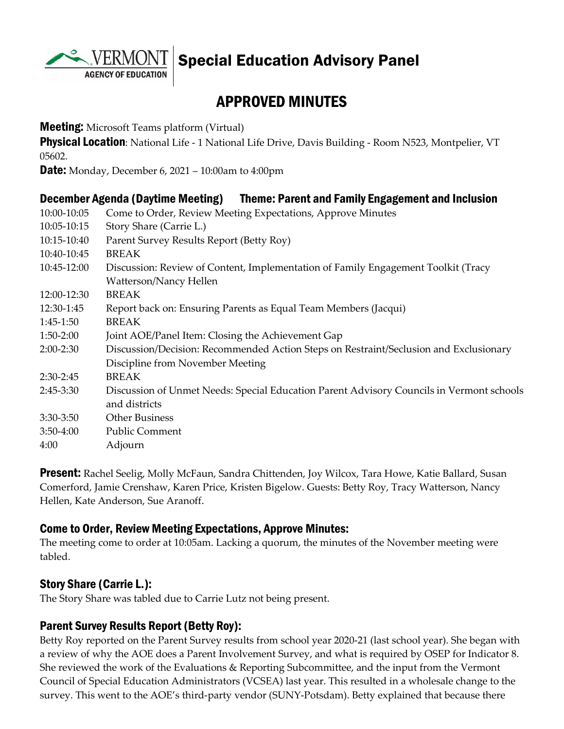

Special Education Advisory Panel

# APPROVED MINUTES

**Meeting:** Microsoft Teams platform (Virtual)

**Physical Location:** National Life - 1 National Life Drive, Davis Building - Room N523, Montpelier, VT 05602.

**Date:** Monday, December 6, 2021 – 10:00am to 4:00pm

#### December Agenda (Daytime Meeting) Theme: Parent and Family Engagement and Inclusion

| 10:00-10:05 | Come to Order, Review Meeting Expectations, Approve Minutes                              |
|-------------|------------------------------------------------------------------------------------------|
| 10:05-10:15 | Story Share (Carrie L.)                                                                  |
| 10:15-10:40 | Parent Survey Results Report (Betty Roy)                                                 |
| 10:40-10:45 | <b>BREAK</b>                                                                             |
| 10:45-12:00 | Discussion: Review of Content, Implementation of Family Engagement Toolkit (Tracy        |
|             | Watterson/Nancy Hellen                                                                   |
| 12:00-12:30 | <b>BREAK</b>                                                                             |
| 12:30-1:45  | Report back on: Ensuring Parents as Equal Team Members (Jacqui)                          |
| $1:45-1:50$ | <b>BREAK</b>                                                                             |
| $1:50-2:00$ | Joint AOE/Panel Item: Closing the Achievement Gap                                        |
| $2:00-2:30$ | Discussion/Decision: Recommended Action Steps on Restraint/Seclusion and Exclusionary    |
|             | Discipline from November Meeting                                                         |
| $2:30-2:45$ | <b>BREAK</b>                                                                             |
| $2:45-3:30$ | Discussion of Unmet Needs: Special Education Parent Advisory Councils in Vermont schools |
|             | and districts                                                                            |
| $3:30-3:50$ | <b>Other Business</b>                                                                    |
| $3:50-4:00$ | <b>Public Comment</b>                                                                    |
| 4:00        | Adjourn                                                                                  |
|             |                                                                                          |

Present: Rachel Seelig, Molly McFaun, Sandra Chittenden, Joy Wilcox, Tara Howe, Katie Ballard, Susan Comerford, Jamie Crenshaw, Karen Price, Kristen Bigelow. Guests: Betty Roy, Tracy Watterson, Nancy Hellen, Kate Anderson, Sue Aranoff.

#### Come to Order, Review Meeting Expectations, Approve Minutes:

The meeting come to order at 10:05am. Lacking a quorum, the minutes of the November meeting were tabled.

#### Story Share (Carrie L.):

The Story Share was tabled due to Carrie Lutz not being present.

#### Parent Survey Results Report (Betty Roy):

Betty Roy reported on the Parent Survey results from school year 2020-21 (last school year). She began with a review of why the AOE does a Parent Involvement Survey, and what is required by OSEP for Indicator 8. She reviewed the work of the Evaluations & Reporting Subcommittee, and the input from the Vermont Council of Special Education Administrators (VCSEA) last year. This resulted in a wholesale change to the survey. This went to the AOE's third-party vendor (SUNY-Potsdam). Betty explained that because there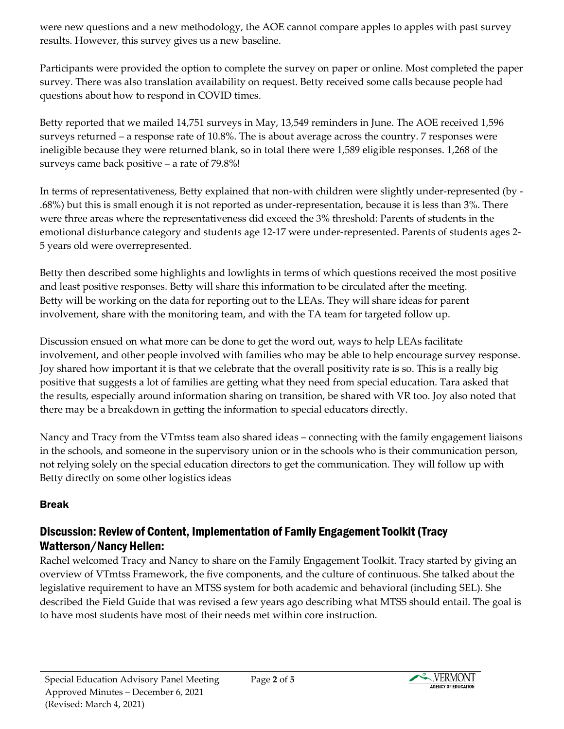were new questions and a new methodology, the AOE cannot compare apples to apples with past survey results. However, this survey gives us a new baseline.

Participants were provided the option to complete the survey on paper or online. Most completed the paper survey. There was also translation availability on request. Betty received some calls because people had questions about how to respond in COVID times.

Betty reported that we mailed 14,751 surveys in May, 13,549 reminders in June. The AOE received 1,596 surveys returned – a response rate of 10.8%. The is about average across the country. 7 responses were ineligible because they were returned blank, so in total there were 1,589 eligible responses. 1,268 of the surveys came back positive – a rate of 79.8%!

In terms of representativeness, Betty explained that non-with children were slightly under-represented (by - .68%) but this is small enough it is not reported as under-representation, because it is less than 3%. There were three areas where the representativeness did exceed the 3% threshold: Parents of students in the emotional disturbance category and students age 12-17 were under-represented. Parents of students ages 2- 5 years old were overrepresented.

Betty then described some highlights and lowlights in terms of which questions received the most positive and least positive responses. Betty will share this information to be circulated after the meeting. Betty will be working on the data for reporting out to the LEAs. They will share ideas for parent involvement, share with the monitoring team, and with the TA team for targeted follow up.

Discussion ensued on what more can be done to get the word out, ways to help LEAs facilitate involvement, and other people involved with families who may be able to help encourage survey response. Joy shared how important it is that we celebrate that the overall positivity rate is so. This is a really big positive that suggests a lot of families are getting what they need from special education. Tara asked that the results, especially around information sharing on transition, be shared with VR too. Joy also noted that there may be a breakdown in getting the information to special educators directly.

Nancy and Tracy from the VTmtss team also shared ideas – connecting with the family engagement liaisons in the schools, and someone in the supervisory union or in the schools who is their communication person, not relying solely on the special education directors to get the communication. They will follow up with Betty directly on some other logistics ideas

### Break

# Discussion: Review of Content, Implementation of Family Engagement Toolkit (Tracy Watterson/Nancy Hellen:

Rachel welcomed Tracy and Nancy to share on the Family Engagement Toolkit. Tracy started by giving an overview of VTmtss Framework, the five components, and the culture of continuous. She talked about the legislative requirement to have an MTSS system for both academic and behavioral (including SEL). She described the Field Guide that was revised a few years ago describing what MTSS should entail. The goal is to have most students have most of their needs met within core instruction.

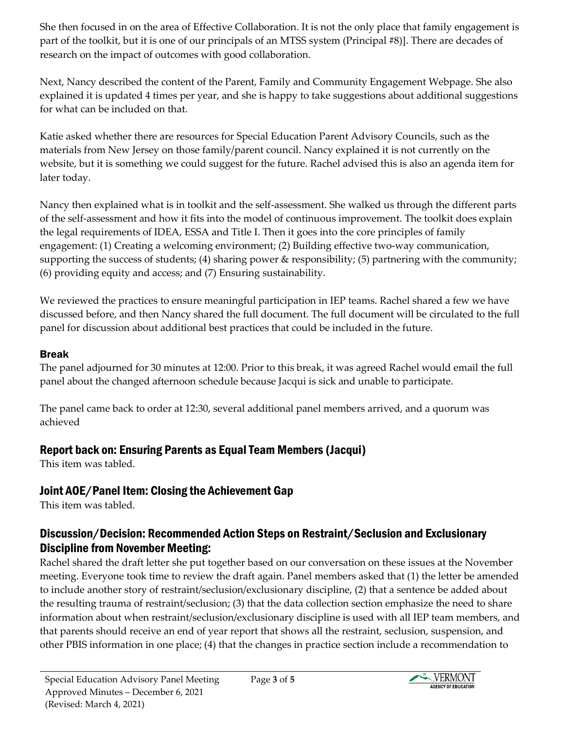She then focused in on the area of Effective Collaboration. It is not the only place that family engagement is part of the toolkit, but it is one of our principals of an MTSS system (Principal #8)]. There are decades of research on the impact of outcomes with good collaboration.

Next, Nancy described the content of the Parent, Family and Community Engagement Webpage. She also explained it is updated 4 times per year, and she is happy to take suggestions about additional suggestions for what can be included on that.

Katie asked whether there are resources for Special Education Parent Advisory Councils, such as the materials from New Jersey on those family/parent council. Nancy explained it is not currently on the website, but it is something we could suggest for the future. Rachel advised this is also an agenda item for later today.

Nancy then explained what is in toolkit and the self-assessment. She walked us through the different parts of the self-assessment and how it fits into the model of continuous improvement. The toolkit does explain the legal requirements of IDEA, ESSA and Title I. Then it goes into the core principles of family engagement: (1) Creating a welcoming environment; (2) Building effective two-way communication, supporting the success of students; (4) sharing power & responsibility; (5) partnering with the community; (6) providing equity and access; and (7) Ensuring sustainability.

We reviewed the practices to ensure meaningful participation in IEP teams. Rachel shared a few we have discussed before, and then Nancy shared the full document. The full document will be circulated to the full panel for discussion about additional best practices that could be included in the future.

#### Break

The panel adjourned for 30 minutes at 12:00. Prior to this break, it was agreed Rachel would email the full panel about the changed afternoon schedule because Jacqui is sick and unable to participate.

The panel came back to order at 12:30, several additional panel members arrived, and a quorum was achieved

## Report back on: Ensuring Parents as Equal Team Members (Jacqui)

This item was tabled.

## Joint AOE/Panel Item: Closing the Achievement Gap

This item was tabled.

## Discussion/Decision: Recommended Action Steps on Restraint/Seclusion and Exclusionary Discipline from November Meeting:

Rachel shared the draft letter she put together based on our conversation on these issues at the November meeting. Everyone took time to review the draft again. Panel members asked that (1) the letter be amended to include another story of restraint/seclusion/exclusionary discipline, (2) that a sentence be added about the resulting trauma of restraint/seclusion; (3) that the data collection section emphasize the need to share information about when restraint/seclusion/exclusionary discipline is used with all IEP team members, and that parents should receive an end of year report that shows all the restraint, seclusion, suspension, and other PBIS information in one place; (4) that the changes in practice section include a recommendation to

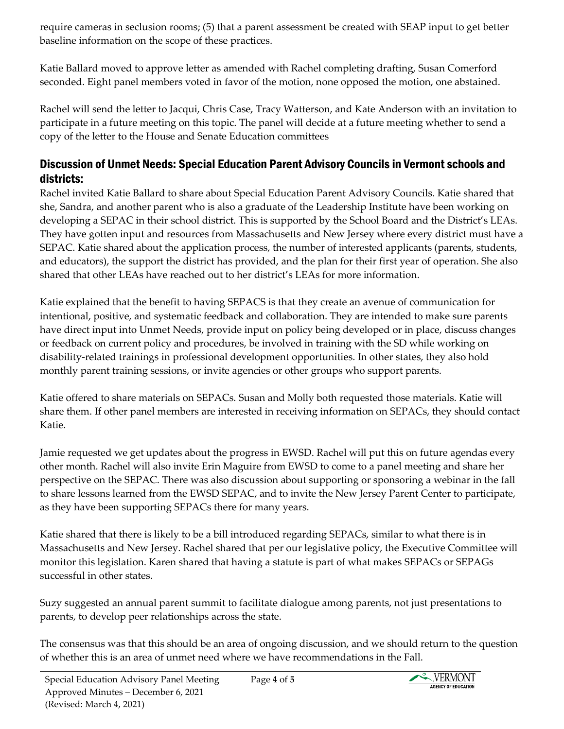require cameras in seclusion rooms; (5) that a parent assessment be created with SEAP input to get better baseline information on the scope of these practices.

Katie Ballard moved to approve letter as amended with Rachel completing drafting, Susan Comerford seconded. Eight panel members voted in favor of the motion, none opposed the motion, one abstained.

Rachel will send the letter to Jacqui, Chris Case, Tracy Watterson, and Kate Anderson with an invitation to participate in a future meeting on this topic. The panel will decide at a future meeting whether to send a copy of the letter to the House and Senate Education committees

### Discussion of Unmet Needs: Special Education Parent Advisory Councils in Vermont schools and districts:

Rachel invited Katie Ballard to share about Special Education Parent Advisory Councils. Katie shared that she, Sandra, and another parent who is also a graduate of the Leadership Institute have been working on developing a SEPAC in their school district. This is supported by the School Board and the District's LEAs. They have gotten input and resources from Massachusetts and New Jersey where every district must have a SEPAC. Katie shared about the application process, the number of interested applicants (parents, students, and educators), the support the district has provided, and the plan for their first year of operation. She also shared that other LEAs have reached out to her district's LEAs for more information.

Katie explained that the benefit to having SEPACS is that they create an avenue of communication for intentional, positive, and systematic feedback and collaboration. They are intended to make sure parents have direct input into Unmet Needs, provide input on policy being developed or in place, discuss changes or feedback on current policy and procedures, be involved in training with the SD while working on disability-related trainings in professional development opportunities. In other states, they also hold monthly parent training sessions, or invite agencies or other groups who support parents.

Katie offered to share materials on SEPACs. Susan and Molly both requested those materials. Katie will share them. If other panel members are interested in receiving information on SEPACs, they should contact Katie.

Jamie requested we get updates about the progress in EWSD. Rachel will put this on future agendas every other month. Rachel will also invite Erin Maguire from EWSD to come to a panel meeting and share her perspective on the SEPAC. There was also discussion about supporting or sponsoring a webinar in the fall to share lessons learned from the EWSD SEPAC, and to invite the New Jersey Parent Center to participate, as they have been supporting SEPACs there for many years.

Katie shared that there is likely to be a bill introduced regarding SEPACs, similar to what there is in Massachusetts and New Jersey. Rachel shared that per our legislative policy, the Executive Committee will monitor this legislation. Karen shared that having a statute is part of what makes SEPACs or SEPAGs successful in other states.

Suzy suggested an annual parent summit to facilitate dialogue among parents, not just presentations to parents, to develop peer relationships across the state.

The consensus was that this should be an area of ongoing discussion, and we should return to the question of whether this is an area of unmet need where we have recommendations in the Fall.